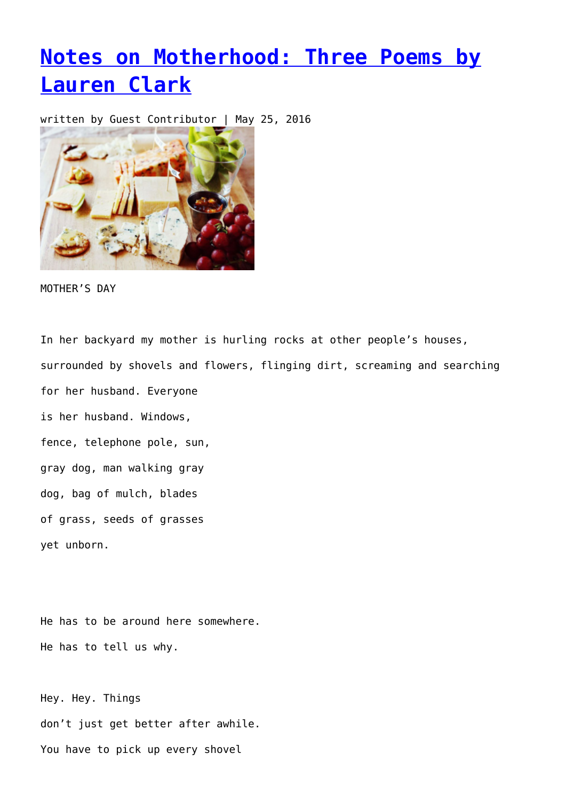## **[Notes on Motherhood: Three Poems by](https://entropymag.org/notes-on-motherhood-three-poems-by-lauren-clark/) [Lauren Clark](https://entropymag.org/notes-on-motherhood-three-poems-by-lauren-clark/)**

written by Guest Contributor | May 25, 2016



MOTHER'S DAY

In her backyard my mother is hurling rocks at other people's houses, surrounded by shovels and flowers, flinging dirt, screaming and searching for her husband. Everyone is her husband. Windows, fence, telephone pole, sun, gray dog, man walking gray dog, bag of mulch, blades of grass, seeds of grasses

yet unborn.

He has to be around here somewhere. He has to tell us why.

Hey. Hey. Things don't just get better after awhile. You have to pick up every shovel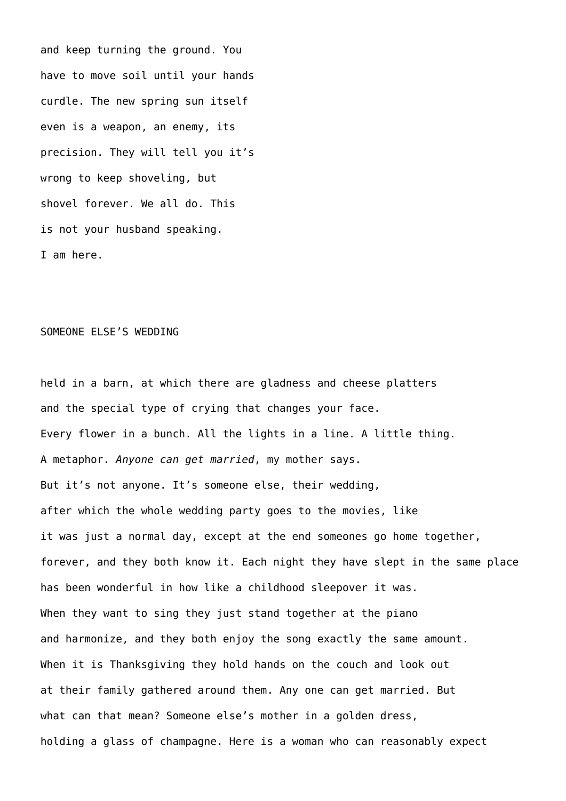and keep turning the ground. You have to move soil until your hands curdle. The new spring sun itself even is a weapon, an enemy, its precision. They will tell you it's wrong to keep shoveling, but shovel forever. We all do. This is not your husband speaking. I am here.

## SOMEONE ELSE'S WEDDING

held in a barn, at which there are gladness and cheese platters and the special type of crying that changes your face. Every flower in a bunch. All the lights in a line. A little thing. A metaphor. *Anyone can get married*, my mother says. But it's not anyone. It's someone else, their wedding, after which the whole wedding party goes to the movies, like it was just a normal day, except at the end someones go home together, forever, and they both know it. Each night they have slept in the same place has been wonderful in how like a childhood sleepover it was. When they want to sing they just stand together at the piano and harmonize, and they both enjoy the song exactly the same amount. When it is Thanksgiving they hold hands on the couch and look out at their family gathered around them. Any one can get married. But what can that mean? Someone else's mother in a golden dress, holding a glass of champagne. Here is a woman who can reasonably expect